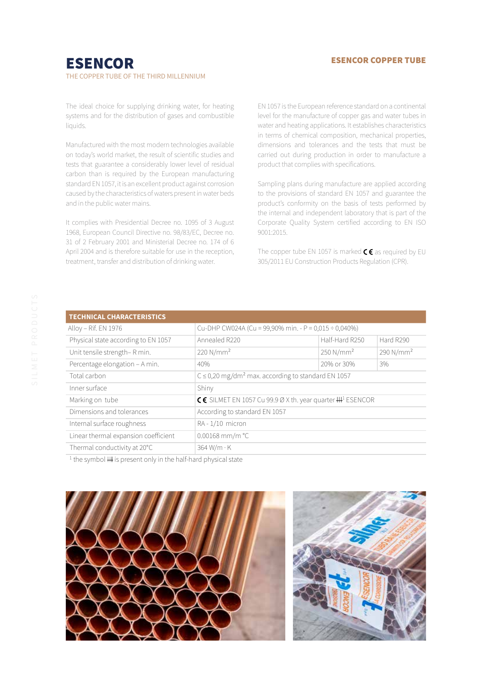#### ESENCOR COPPER TUBE

# ESENCOR THE COPPER TUBE OF THE THIRD MILLENNIUM

The ideal choice for supplying drinking water, for heating systems and for the distribution of gases and combustible liquids.

Manufactured with the most modern technologies available on today's world market, the result of scientific studies and tests that guarantee a considerably lower level of residual carbon than is required by the European manufacturing standard EN 1057, it is an excellent product against corrosion caused by the characteristics of waters present in water beds and in the public water mains.

It complies with Presidential Decree no. 1095 of 3 August 1968, European Council Directive no. 98/83/EC, Decree no. 31 of 2 February 2001 and Ministerial Decree no. 174 of 6 April 2004 and is therefore suitable for use in the reception, treatment, transfer and distribution of drinking water.

EN 1057 is the European reference standard on a continental level for the manufacture of copper gas and water tubes in water and heating applications. It establishes characteristics in terms of chemical composition, mechanical properties, dimensions and tolerances and the tests that must be carried out during production in order to manufacture a product that complies with specifications.

Sampling plans during manufacture are applied according to the provisions of standard EN 1057 and guarantee the product's conformity on the basis of tests performed by the internal and independent laboratory that is part of the Corporate Quality System certified according to EN ISO 9001:2015.

The copper tube EN 1057 is marked  $\zeta \epsilon$  as required by EU 305/2011 EU Construction Products Regulation (CPR).

| <b>TECHNICAL CHARACTERISTICS</b>     |                                                                       |                                                                    |                       |  |  |  |  |
|--------------------------------------|-----------------------------------------------------------------------|--------------------------------------------------------------------|-----------------------|--|--|--|--|
| Alloy - Rif. EN 1976                 | Cu-DHP CW024A (Cu = 99,90% min. - P = 0,015 ÷ 0,040%)                 |                                                                    |                       |  |  |  |  |
| Physical state according to EN 1057  | Half-Hard R250<br>Annealed R220<br>Hard R290                          |                                                                    |                       |  |  |  |  |
| Unit tensile strength-R min.         | 220 N/mm <sup>2</sup>                                                 | 250 N/mm <sup>2</sup>                                              | 290 N/mm <sup>2</sup> |  |  |  |  |
| Percentage elongation - A min.       | 40%                                                                   | 20% or 30%                                                         | 3%                    |  |  |  |  |
| Total carbon                         |                                                                       | $C \le 0,20$ mg/dm <sup>2</sup> max. according to standard EN 1057 |                       |  |  |  |  |
| Inner surface                        | Shiny                                                                 |                                                                    |                       |  |  |  |  |
| Marking on tube                      | CC SILMET EN 1057 Cu 99.9 Ø X th. year quarter $\mathbf{H}^1$ ESENCOR |                                                                    |                       |  |  |  |  |
| Dimensions and tolerances            | According to standard EN 1057                                         |                                                                    |                       |  |  |  |  |
| Internal surface roughness           | RA-1/10 micron                                                        |                                                                    |                       |  |  |  |  |
| Linear thermal expansion coefficient | $0.00168$ mm/m $^{\circ}$ C                                           |                                                                    |                       |  |  |  |  |
| Thermal conductivity at 20°C         | $364 W/m \cdot K$                                                     |                                                                    |                       |  |  |  |  |
|                                      |                                                                       |                                                                    |                       |  |  |  |  |

<sup>1</sup> the symbol **HH** is present only in the half-hard physical state